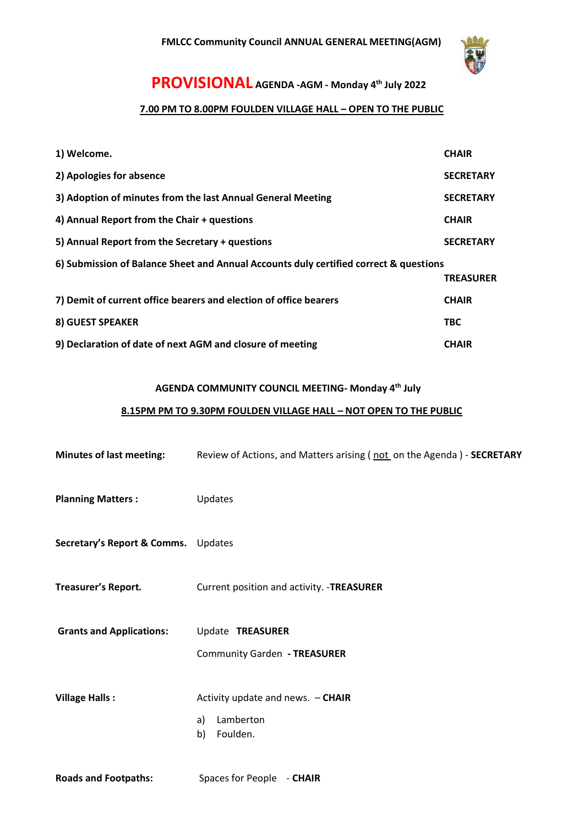

# **PROVISIONAL AGENDA -AGM - Monday 4 th July 2022**

### **7.00 PM TO 8.00PM FOULDEN VILLAGE HALL – OPEN TO THE PUBLIC**

| 1) Welcome.                                                                           | <b>CHAIR</b>     |  |
|---------------------------------------------------------------------------------------|------------------|--|
| 2) Apologies for absence                                                              | <b>SECRETARY</b> |  |
| 3) Adoption of minutes from the last Annual General Meeting                           | <b>SECRETARY</b> |  |
| 4) Annual Report from the Chair + questions                                           | <b>CHAIR</b>     |  |
| 5) Annual Report from the Secretary + questions                                       | <b>SECRETARY</b> |  |
| 6) Submission of Balance Sheet and Annual Accounts duly certified correct & questions |                  |  |
|                                                                                       | <b>TREASURER</b> |  |
| 7) Demit of current office bearers and election of office bearers                     | <b>CHAIR</b>     |  |
| <b>8) GUEST SPEAKER</b>                                                               | <b>TBC</b>       |  |
| 9) Declaration of date of next AGM and closure of meeting                             | <b>CHAIR</b>     |  |

### **AGENDA COMMUNITY COUNCIL MEETING- Monday 4 th July**

## **8.15PM PM TO 9.30PM FOULDEN VILLAGE HALL – NOT OPEN TO THE PUBLIC**

| <b>Minutes of last meeting:</b>     | Review of Actions, and Matters arising (not on the Agenda) - SECRETARY |
|-------------------------------------|------------------------------------------------------------------------|
| <b>Planning Matters:</b>            | Updates                                                                |
| Secretary's Report & Comms. Updates |                                                                        |
| <b>Treasurer's Report.</b>          | Current position and activity. - TREASURER                             |
| <b>Grants and Applications:</b>     | Update TREASURER<br>Community Garden - TREASURER                       |
| <b>Village Halls:</b>               | Activity update and news. - CHAIR<br>Lamberton<br>a)<br>Foulden.<br>b) |